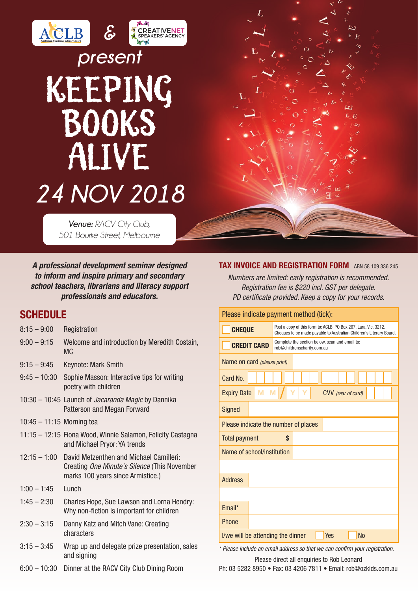# *&*ACLB *present*

# KEEPING BOOKS ALIVE *24 NOV 2018*

*Venue: RACV City Club, 501 Bourke Street, Melbourne*

*A professional development seminar designed to inform and inspire primary and secondary school teachers, librarians and literacy support professionals and educators.*

### **SCHEDULE**

- 8:15 9:00 Registration
- 9:00 9:15 Welcome and introduction by Meredith Costain, MC
- 9:15 9:45 Keynote: Mark Smith
- 9:45 10:30 Sophie Masson: Interactive tips for writing poetry with children
- 10:30 10:45 Launch of *Jacaranda Magic* by Dannika Patterson and Megan Forward
- 10:45 11:15 Morning tea
- 11:15 12:15 Fiona Wood, Winnie Salamon, Felicity Castagna and Michael Pryor: YA trends
- 12:15 1:00 David Metzenthen and Michael Camilleri: Creating *One Minute's Silence* (This November marks 100 years since Armistice.)
- $1:00 1:45$  Lunch
- 1:45 2:30 Charles Hope, Sue Lawson and Lorna Hendry: Why non-fiction is important for children
- 2:30 3:15 Danny Katz and Mitch Vane: Creating characters
- 3:15 3:45 Wrap up and delegate prize presentation, sales and signing
- 6:00 10:30 Dinner at the RACV City Club Dining Room

#### TAX INVOICE AND REGISTRATION FORM ABN 58 109 336 245

*Numbers are limited: early registration is recommended. Registration fee is \$220 incl. GST per delegate. PD certificate provided. Keep a copy for your records.*

| Please indicate payment method (tick):                |                                                                                                                                        |
|-------------------------------------------------------|----------------------------------------------------------------------------------------------------------------------------------------|
| <b>CHEQUE</b>                                         | Post a copy of this form to: ACLB, PO Box 267, Lara, Vic. 3212.<br>Cheques to be made payable to Australian Children's Literary Board. |
| <b>CREDIT CARD</b>                                    | Complete the section below, scan and email to:<br>rob@childrenscharity.com.au                                                          |
| Name on card (please print)                           |                                                                                                                                        |
| Card No.                                              |                                                                                                                                        |
| M<br>M<br><b>Expiry Date</b><br>CVV (rear of card)    |                                                                                                                                        |
| <b>Signed</b>                                         |                                                                                                                                        |
| Please indicate the number of places                  |                                                                                                                                        |
| <b>Total payment</b>                                  | \$                                                                                                                                     |
| Name of school/institution                            |                                                                                                                                        |
|                                                       |                                                                                                                                        |
| <b>Address</b>                                        |                                                                                                                                        |
|                                                       |                                                                                                                                        |
| Email*                                                |                                                                                                                                        |
| Phone                                                 |                                                                                                                                        |
| <b>No</b><br>I/we will be attending the dinner<br>Yes |                                                                                                                                        |

*\* Please include an email address so that we can confirm your registration.* Please direct all enquiries to Rob Leonard

Ph: 03 5282 8950 • Fax: 03 4206 7811 • Email: rob@ozkids.com.au